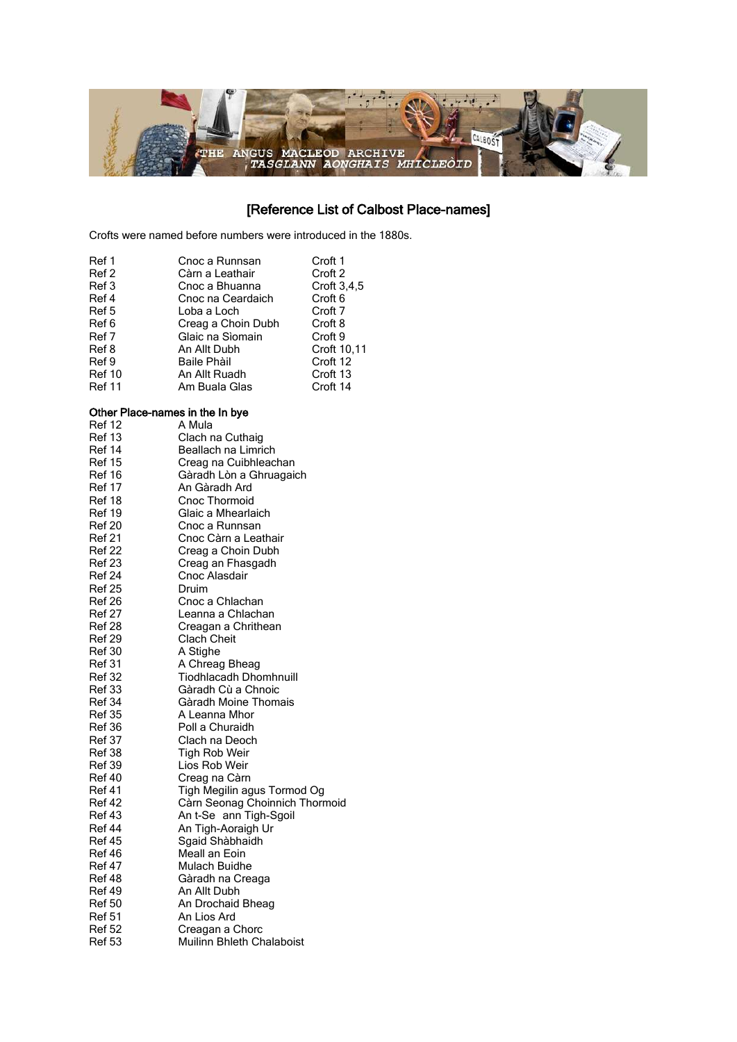

# [Reference List of Calbost Place-names]

Crofts were named before numbers were introduced in the 1880s.

| Ref 1         | Cnoc a Runnsan     | Croft 1            |
|---------------|--------------------|--------------------|
| Ref 2         | Càrn a Leathair    | Croft 2            |
| Ref 3         | Cnoc a Bhuanna     | Croft $3.4.5$      |
| Ref 4         | Cnoc na Ceardaich  | Croft <sub>6</sub> |
| Ref 5         | Loba a Loch        | Croft 7            |
| Ref 6         | Creag a Choin Dubh | Croft 8            |
| Ref 7         | Glaic na Sìomain   | Croft 9            |
| Ref 8         | An Allt Dubh       | Croft 10,11        |
| Ref 9         | Baile Phàil        | Croft 12           |
| <b>Ref 10</b> | An Allt Ruadh      | Croft 13           |
| <b>Ref 11</b> | Am Buala Glas      | Croft 14           |

### Other Place-names in the In bye

| <b>Ref 12</b> | A Mula                         |
|---------------|--------------------------------|
| <b>Ref 13</b> | Clach na Cuthaig               |
| Ref 14        | Beallach na Limrich            |
| <b>Ref 15</b> | Creag na Cuibhleachan          |
| <b>Ref 16</b> | Gàradh Lòn a Ghruagaich        |
| <b>Ref 17</b> | An Gàradh Ard                  |
| Ref 18        | Cnoc Thormoid                  |
| Ref 19        | Glaic a Mhearlaich             |
| <b>Ref 20</b> | Cnoc a Runnsan                 |
| <b>Ref 21</b> | Cnoc Càrn a Leathair           |
| <b>Ref 22</b> | Creag a Choin Dubh             |
| <b>Ref 23</b> | Creag an Fhasgadh              |
| <b>Ref 24</b> | Cnoc Alasdair                  |
| Ref 25        | Druim                          |
| <b>Ref 26</b> | Cnoc a Chlachan                |
| <b>Ref 27</b> | Leanna a Chlachan              |
| <b>Ref 28</b> | Creagan a Chrithean            |
| <b>Ref 29</b> | <b>Clach Cheit</b>             |
| <b>Ref 30</b> | A Stighe                       |
| <b>Ref 31</b> | A Chreag Bheag                 |
| Ref 32        | <b>Tiodhlacadh Dhomhnuill</b>  |
| <b>Ref 33</b> | Gàradh Cù a Chnoic             |
| <b>Ref 34</b> | Gàradh Moine Thomais           |
| <b>Ref 35</b> | A Leanna Mhor                  |
| Ref 36        | Poll a Churaidh                |
| <b>Ref 37</b> | Clach na Deoch                 |
| Ref 38        | Tigh Rob Weir                  |
| Ref 39        | Lios Rob Weir                  |
| <b>Ref 40</b> | Creag na Càrn                  |
| <b>Ref 41</b> | Tigh Megilin agus Tormod Og    |
| Ref 42        | Càrn Seonag Choinnich Thormoid |
| <b>Ref 43</b> | An t-Se ann Tigh-Sgoil         |
| <b>Ref 44</b> | An Tigh-Aoraigh Ur             |
| <b>Ref 45</b> | Sgaid Shàbhaidh                |
| <b>Ref 46</b> | Meall an Eoin                  |
| <b>Ref 47</b> | Mulach Buidhe                  |
| <b>Ref 48</b> | Gàradh na Creaga               |
| <b>Ref 49</b> | An Allt Dubh                   |
| Ref 50        | An Drochaid Bheag              |
| <b>Ref 51</b> | An Lios Ard                    |
| <b>Ref 52</b> | Creagan a Chorc                |
| Ref 53        | Muilinn Bhleth Chalaboist      |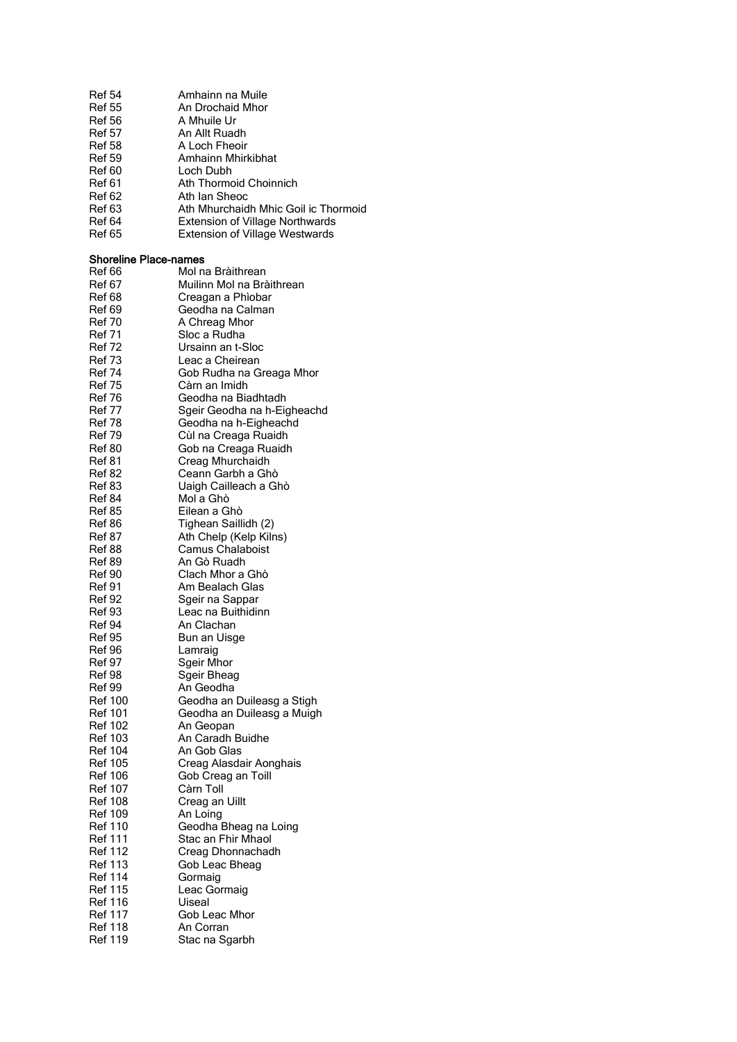| <b>Ref 54</b><br><b>Ref 55</b><br><b>Ref 56</b><br><b>Ref 57</b><br><b>Ref 58</b><br><b>Ref 59</b><br>Ref 60<br>Ref 61<br><b>Ref 62</b><br><b>Ref 63</b><br>Ref 64<br><b>Ref 65</b> | Amhainn na Muile<br>An Drochaid Mhor<br>A Mhuile Ur<br>An Allt Ruadh<br>A Loch Fheoir<br>Amhainn Mhirkibhat<br>Loch Dubh<br>Ath Thormoid Choinnich<br>Ath Ian Sheoc<br>Ath Mhurchaidh Mhic Goil ic Thormoid<br><b>Extension of Village Northwards</b><br><b>Extension of Village Westwards</b> |
|-------------------------------------------------------------------------------------------------------------------------------------------------------------------------------------|------------------------------------------------------------------------------------------------------------------------------------------------------------------------------------------------------------------------------------------------------------------------------------------------|
| <b>Shoreline Place-names</b>                                                                                                                                                        |                                                                                                                                                                                                                                                                                                |
| Ref 66                                                                                                                                                                              | Mol na Bràithrean                                                                                                                                                                                                                                                                              |
| <b>Ref 67</b>                                                                                                                                                                       | Muilinn Mol na Bràithrean                                                                                                                                                                                                                                                                      |
| <b>Ref 68</b><br>Ref 69                                                                                                                                                             | Creagan a Phìobar<br>Geodha na Calman                                                                                                                                                                                                                                                          |
| <b>Ref 70</b>                                                                                                                                                                       | A Chreag Mhor                                                                                                                                                                                                                                                                                  |
| <b>Ref 71</b>                                                                                                                                                                       | Sloc a Rudha                                                                                                                                                                                                                                                                                   |
| <b>Ref 72</b>                                                                                                                                                                       | Ursainn an t-Sloc                                                                                                                                                                                                                                                                              |
| <b>Ref 73</b>                                                                                                                                                                       | Leac a Cheirean                                                                                                                                                                                                                                                                                |
| <b>Ref 74</b>                                                                                                                                                                       | Gob Rudha na Greaga Mhor                                                                                                                                                                                                                                                                       |
| <b>Ref 75</b>                                                                                                                                                                       | Càrn an Imidh                                                                                                                                                                                                                                                                                  |
| Ref 76<br><b>Ref 77</b>                                                                                                                                                             | Geodha na Biadhtadh<br>Sgeir Geodha na h-Eigheachd                                                                                                                                                                                                                                             |
| <b>Ref 78</b>                                                                                                                                                                       | Geodha na h-Eigheachd                                                                                                                                                                                                                                                                          |
| <b>Ref 79</b>                                                                                                                                                                       | Cùl na Creaga Ruaidh                                                                                                                                                                                                                                                                           |
| Ref 80                                                                                                                                                                              | Gob na Creaga Ruaidh                                                                                                                                                                                                                                                                           |
| <b>Ref 81</b>                                                                                                                                                                       | Creag Mhurchaidh                                                                                                                                                                                                                                                                               |
| Ref 82                                                                                                                                                                              | Ceann Garbh a Ghò                                                                                                                                                                                                                                                                              |
| Ref 83                                                                                                                                                                              | Uaigh Cailleach a Ghò                                                                                                                                                                                                                                                                          |
| <b>Ref 84</b>                                                                                                                                                                       | Mol a Ghò                                                                                                                                                                                                                                                                                      |
| <b>Ref 85</b><br><b>Ref 86</b>                                                                                                                                                      | Eilean a Ghò<br>Tighean Saillidh (2)                                                                                                                                                                                                                                                           |
| Ref 87                                                                                                                                                                              | Ath Chelp (Kelp Kilns)                                                                                                                                                                                                                                                                         |
| Ref 88                                                                                                                                                                              | <b>Camus Chalaboist</b>                                                                                                                                                                                                                                                                        |
| <b>Ref 89</b>                                                                                                                                                                       | An Gò Ruadh                                                                                                                                                                                                                                                                                    |
| <b>Ref 90</b>                                                                                                                                                                       | Clach Mhor a Ghò                                                                                                                                                                                                                                                                               |
| Ref 91                                                                                                                                                                              | Am Bealach Glas                                                                                                                                                                                                                                                                                |
| <b>Ref 92</b>                                                                                                                                                                       | Sgeir na Sappar                                                                                                                                                                                                                                                                                |
| <b>Ref 93</b><br>Ref 94                                                                                                                                                             | Leac na Buithidinn<br>An Clachan                                                                                                                                                                                                                                                               |
| Ref 95                                                                                                                                                                              | Bun an Uisge                                                                                                                                                                                                                                                                                   |
| Ref 96                                                                                                                                                                              | Lamraig                                                                                                                                                                                                                                                                                        |
| <b>Ref 97</b>                                                                                                                                                                       | Sgeir Mhor                                                                                                                                                                                                                                                                                     |
| Ref 98                                                                                                                                                                              | Sgeir Bheag                                                                                                                                                                                                                                                                                    |
| <b>Ref 99</b>                                                                                                                                                                       | An Geodha                                                                                                                                                                                                                                                                                      |
| <b>Ref 100</b>                                                                                                                                                                      | Geodha an Duileasg a Stigh                                                                                                                                                                                                                                                                     |
| <b>Ref 101</b>                                                                                                                                                                      | Geodha an Duileasg a Muigh                                                                                                                                                                                                                                                                     |
| <b>Ref 102</b><br><b>Ref 103</b>                                                                                                                                                    | An Geopan<br>An Caradh Buidhe                                                                                                                                                                                                                                                                  |
| <b>Ref 104</b>                                                                                                                                                                      | An Gob Glas                                                                                                                                                                                                                                                                                    |
| Ref 105                                                                                                                                                                             | Creag Alasdair Aonghais                                                                                                                                                                                                                                                                        |
| <b>Ref 106</b>                                                                                                                                                                      | Gob Creag an Toill                                                                                                                                                                                                                                                                             |
| <b>Ref 107</b>                                                                                                                                                                      | Càrn Toll                                                                                                                                                                                                                                                                                      |
| <b>Ref 108</b>                                                                                                                                                                      | Creag an Uillt                                                                                                                                                                                                                                                                                 |
| <b>Ref 109</b>                                                                                                                                                                      | An Loing                                                                                                                                                                                                                                                                                       |
| <b>Ref 110</b>                                                                                                                                                                      | Geodha Bheag na Loing                                                                                                                                                                                                                                                                          |
| <b>Ref 111</b><br><b>Ref 112</b>                                                                                                                                                    | Stac an Fhir Mhaol<br>Creag Dhonnachadh                                                                                                                                                                                                                                                        |
| <b>Ref 113</b>                                                                                                                                                                      | Gob Leac Bheag                                                                                                                                                                                                                                                                                 |
| <b>Ref 114</b>                                                                                                                                                                      | Gormaig                                                                                                                                                                                                                                                                                        |
| <b>Ref 115</b>                                                                                                                                                                      | Leac Gormaig                                                                                                                                                                                                                                                                                   |
| <b>Ref 116</b>                                                                                                                                                                      | Uiseal                                                                                                                                                                                                                                                                                         |
| <b>Ref 117</b>                                                                                                                                                                      | Gob Leac Mhor                                                                                                                                                                                                                                                                                  |
| <b>Ref 118</b>                                                                                                                                                                      | An Corran                                                                                                                                                                                                                                                                                      |
| <b>Ref 119</b>                                                                                                                                                                      | Stac na Sgarbh                                                                                                                                                                                                                                                                                 |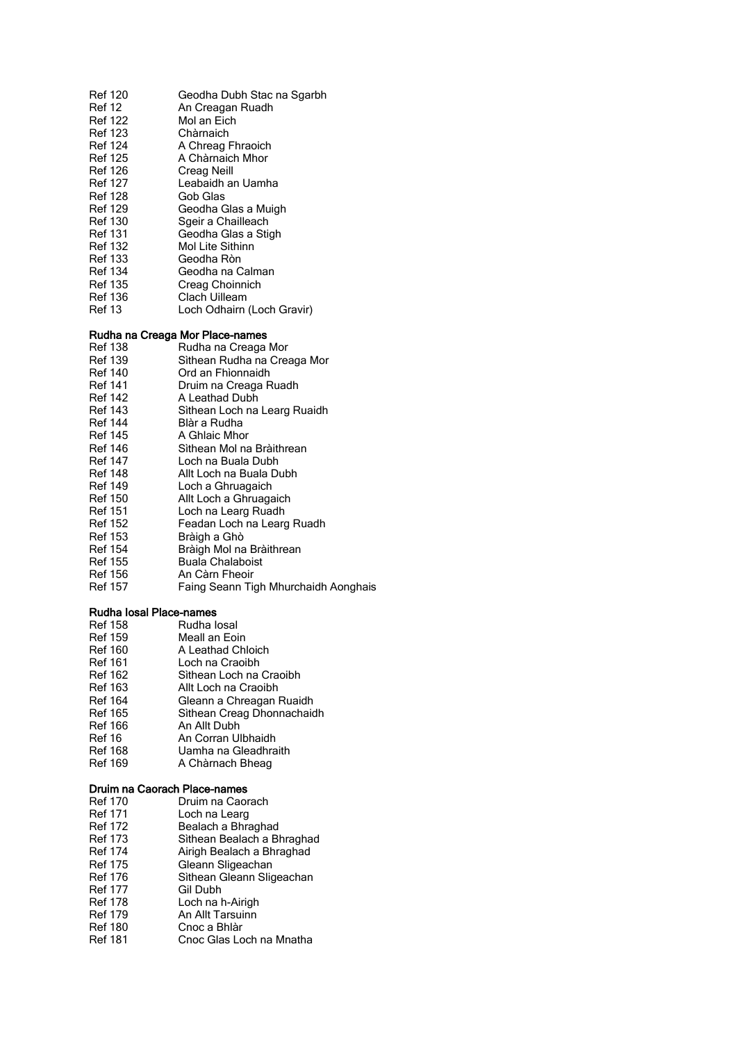| Ref 120        | Geodha Dubh Stac na Sgarbh |
|----------------|----------------------------|
| <b>Ref 12</b>  | An Creagan Ruadh           |
| <b>Ref 122</b> | Mol an Fich                |
| Ref 123        | Chàrnaich                  |
| <b>Ref 124</b> | A Chreag Fhraoich          |
| <b>Ref 125</b> | A Chàrnaich Mhor           |
| <b>Ref 126</b> | Creag Neill                |
| <b>Ref 127</b> | Leabaidh an Uamha          |
| Ref 128        | Gob Glas                   |
| <b>Ref 129</b> | Geodha Glas a Muigh        |
| Ref 130        | Sgeir a Chailleach         |
| Ref 131        | Geodha Glas a Stigh        |
| <b>Ref 132</b> | Mol Lite Sithinn           |
| Ref 133        | Geodha Ròn                 |
| <b>Ref 134</b> | Geodha na Calman           |
| <b>Ref 135</b> | Creag Choinnich            |
| <b>Ref 136</b> | Clach Uilleam              |
| <b>Ref 13</b>  | Loch Odhairn (Loch Gravir) |
|                |                            |

## Rudha na Creaga Mor Place-names

| Ref 138        | Rudha na Creaga Mor                  |
|----------------|--------------------------------------|
| <b>Ref 139</b> | Sìthean Rudha na Creaga Mor          |
| <b>Ref 140</b> | Ord an Fhionnaidh                    |
| <b>Ref 141</b> | Druim na Creaga Ruadh                |
| <b>Ref 142</b> | A Leathad Dubh                       |
| <b>Ref 143</b> | Sìthean Loch na Learg Ruaidh         |
| <b>Ref 144</b> | Blàr a Rudha                         |
| <b>Ref 145</b> | A Ghlaic Mhor                        |
| <b>Ref 146</b> | Sìthean Mol na Bràithrean            |
| <b>Ref 147</b> | Loch na Buala Dubh                   |
| <b>Ref 148</b> | Allt Loch na Buala Dubh              |
| <b>Ref 149</b> | Loch a Ghruagaich                    |
| <b>Ref 150</b> | Allt Loch a Ghruagaich               |
| <b>Ref 151</b> | Loch na Learg Ruadh                  |
| Ref 152        | Feadan Loch na Learg Ruadh           |
| <b>Ref 153</b> | Bràigh a Ghò                         |
| <b>Ref 154</b> | Bràigh Mol na Bràithrean             |
| <b>Ref 155</b> | <b>Buala Chalaboist</b>              |
| <b>Ref 156</b> | An Càrn Fheoir                       |
| <b>Ref 157</b> | Faing Seann Tigh Mhurchaidh Aonghais |
|                |                                      |

## Rudha Iosal Place-names

| Ref 158 | Rudha losal                |
|---------|----------------------------|
| Ref 159 | Meall an Eoin              |
| Ref 160 | A Leathad Chloich          |
| Ref 161 | Loch na Craoibh            |
| Ref 162 | Sìthean Loch na Craoibh    |
| Ref 163 | Allt Loch na Craoibh       |
| Ref 164 | Gleann a Chreagan Ruaidh   |
| Ref 165 | Sìthean Creag Dhonnachaidh |
| Ref 166 | An Allt Dubh               |
| Ref 16  | An Corran Ulbhaidh         |
| Ref 168 | Uamha na Gleadhraith       |
| Ref 169 | A Chàrnach Bheag           |

#### Druim na Caorach Place-names

| <b>Ref 170</b> | Druim na Caorach           |
|----------------|----------------------------|
| <b>Ref 171</b> | Loch na Learg              |
| <b>Ref 172</b> | Bealach a Bhraghad         |
| <b>Ref 173</b> | Sìthean Bealach a Bhraghad |
| <b>Ref 174</b> | Airigh Bealach a Bhraghad  |
| <b>Ref 175</b> | Gleann Sligeachan          |
| <b>Ref 176</b> | Sìthean Gleann Sligeachan  |
| <b>Ref 177</b> | Gil Dubh                   |
| <b>Ref 178</b> | Loch na h-Airigh           |
| <b>Ref 179</b> | An Allt Tarsuinn           |
| <b>Ref 180</b> | Cnoc a Bhlàr               |
| <b>Ref 181</b> | Cnoc Glas Loch na Mnatha   |
|                |                            |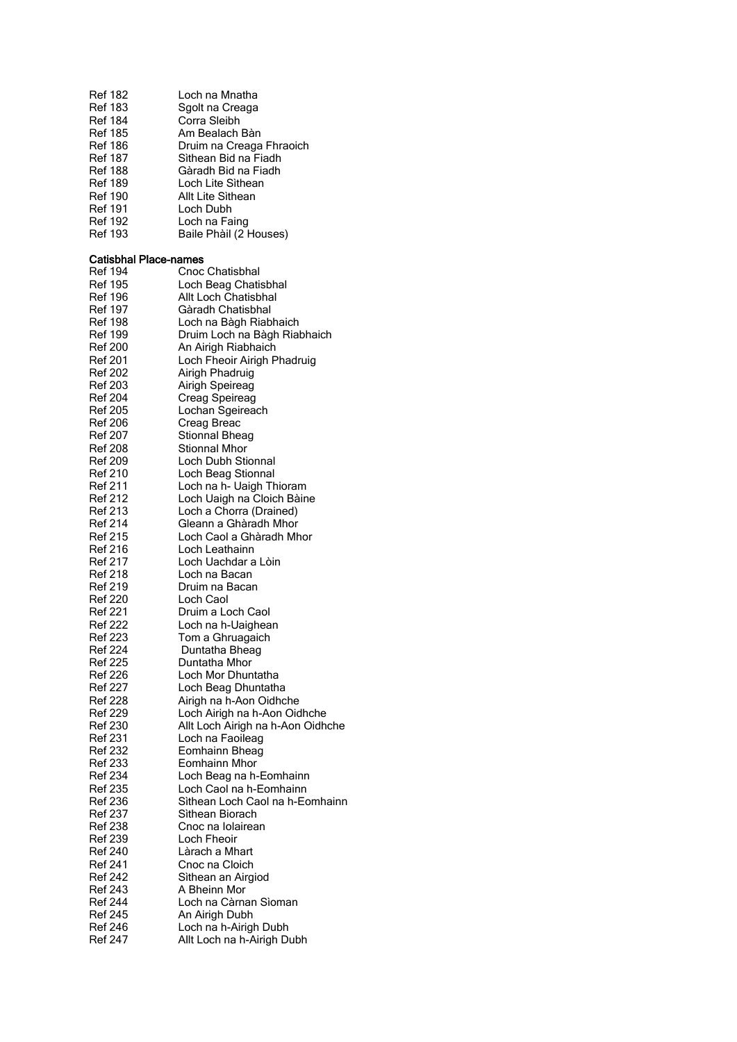| Ref 182<br><b>Ref 183</b><br>Ref 184<br><b>Ref 185</b><br><b>Ref 186</b><br>Ref 187<br>Ref 188<br><b>Ref 189</b> | Loch na Mnatha<br>Sgolt na Creaga<br>Corra Sleibh<br>Am Bealach Bàn<br>Druim na Creaga Fhraoich<br>Sìthean Bid na Fiadh<br>Gàradh Bid na Fiadh<br>Loch Lite Sithean |
|------------------------------------------------------------------------------------------------------------------|---------------------------------------------------------------------------------------------------------------------------------------------------------------------|
| Ref 190<br>Ref 191                                                                                               | Allt Lite Sìthean<br>Loch Dubh                                                                                                                                      |
| Ref 192<br><b>Ref 193</b>                                                                                        | Loch na Faing<br>Baile Phàil (2 Houses)                                                                                                                             |
| Catisbhal Place-names                                                                                            |                                                                                                                                                                     |
| Ref 194                                                                                                          | Cnoc Chatisbhal                                                                                                                                                     |
| Ref 195                                                                                                          | Loch Beag Chatisbhal                                                                                                                                                |
| Ref 196                                                                                                          | Allt Loch Chatisbhal                                                                                                                                                |
| <b>Ref 197</b>                                                                                                   | Gàradh Chatisbhal                                                                                                                                                   |
| Ref 198                                                                                                          | Loch na Bàgh Riabhaich                                                                                                                                              |
| Ref 199                                                                                                          | Druim Loch na Bàgh Riabhaich                                                                                                                                        |
| <b>Ref 200</b>                                                                                                   | An Airigh Riabhaich                                                                                                                                                 |
| <b>Ref 201</b>                                                                                                   | Loch Fheoir Airigh Phadruig                                                                                                                                         |
| <b>Ref 202</b><br><b>Ref 203</b>                                                                                 | Airigh Phadruig                                                                                                                                                     |
| <b>Ref 204</b>                                                                                                   | Airigh Speireag<br>Creag Speireag                                                                                                                                   |
| <b>Ref 205</b>                                                                                                   | Lochan Sgeireach                                                                                                                                                    |
| Ref 206                                                                                                          | Creag Breac                                                                                                                                                         |
| <b>Ref 207</b>                                                                                                   | Stionnal Bheag                                                                                                                                                      |
| Ref 208                                                                                                          | Stionnal Mhor                                                                                                                                                       |
| Ref 209                                                                                                          | Loch Dubh Stionnal                                                                                                                                                  |
| <b>Ref 210</b>                                                                                                   | Loch Beag Stionnal                                                                                                                                                  |
| <b>Ref 211</b>                                                                                                   | Loch na h- Uaigh Thioram                                                                                                                                            |
| <b>Ref 212</b><br><b>Ref 213</b>                                                                                 | Loch Uaigh na Cloich Bàine<br>Loch a Chorra (Drained)                                                                                                               |
| <b>Ref 214</b>                                                                                                   | Gleann a Ghàradh Mhor                                                                                                                                               |
| <b>Ref 215</b>                                                                                                   | Loch Caol a Ghàradh Mhor                                                                                                                                            |
| Ref 216                                                                                                          | Loch Leathainn                                                                                                                                                      |
| <b>Ref 217</b>                                                                                                   | Loch Uachdar a Lòin                                                                                                                                                 |
| <b>Ref 218</b>                                                                                                   | Loch na Bacan                                                                                                                                                       |
| Ref 219                                                                                                          | Druim na Bacan                                                                                                                                                      |
| <b>Ref 220</b>                                                                                                   | Loch Caol                                                                                                                                                           |
| <b>Ref 221</b><br>Ref 222                                                                                        | Druim a Loch Caol<br>Loch na h-Uaighean                                                                                                                             |
| <b>Ref 223</b>                                                                                                   | Tom a Ghruagaich                                                                                                                                                    |
| <b>Ref 224</b>                                                                                                   | Duntatha Bheag                                                                                                                                                      |
| <b>Ref 225</b>                                                                                                   | Duntatha Mhor                                                                                                                                                       |
| Ref 226                                                                                                          | Loch Mor Dhuntatha                                                                                                                                                  |
| <b>Ref 227</b>                                                                                                   | Loch Beag Dhuntatha                                                                                                                                                 |
| <b>Ref 228</b>                                                                                                   | Airigh na h-Aon Oidhche                                                                                                                                             |
| Ref 229                                                                                                          | Loch Airigh na h-Aon Oidhche                                                                                                                                        |
| <b>Ref 230</b><br><b>Ref 231</b>                                                                                 | Allt Loch Airigh na h-Aon Oidhche<br>Loch na Faoileag                                                                                                               |
| <b>Ref 232</b>                                                                                                   | Eomhainn Bheag                                                                                                                                                      |
| <b>Ref 233</b>                                                                                                   | Eomhainn Mhor                                                                                                                                                       |
| <b>Ref 234</b>                                                                                                   | Loch Beag na h-Eomhainn                                                                                                                                             |
| <b>Ref 235</b>                                                                                                   | Loch Caol na h-Eomhainn                                                                                                                                             |
| <b>Ref 236</b>                                                                                                   | Sìthean Loch Caol na h-Eomhainn                                                                                                                                     |
| <b>Ref 237</b>                                                                                                   | Sìthean Biorach                                                                                                                                                     |
| <b>Ref 238</b>                                                                                                   | Cnoc na Iolairean                                                                                                                                                   |
| Ref 239                                                                                                          | Loch Fheoir                                                                                                                                                         |
| <b>Ref 240</b><br><b>Ref 241</b>                                                                                 | Làrach a Mhart<br>Cnoc na Cloich                                                                                                                                    |
| <b>Ref 242</b>                                                                                                   | Sìthean an Airgiod                                                                                                                                                  |
| <b>Ref 243</b>                                                                                                   | A Bheinn Mor                                                                                                                                                        |
| <b>Ref 244</b>                                                                                                   | Loch na Càrnan Sìoman                                                                                                                                               |
| <b>Ref 245</b>                                                                                                   | An Airigh Dubh                                                                                                                                                      |
| <b>Ref 246</b>                                                                                                   | Loch na h-Airigh Dubh                                                                                                                                               |
| <b>Ref 247</b>                                                                                                   | Allt Loch na h-Airigh Dubh                                                                                                                                          |
|                                                                                                                  |                                                                                                                                                                     |